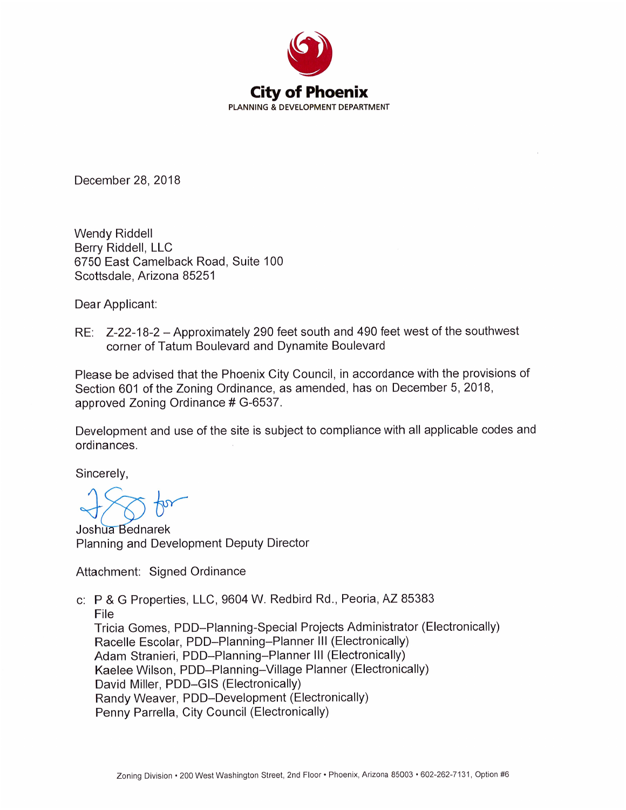

December 28, 2018

**Wendy Riddell** Berry Riddell, LLC 6750 East Camelback Road, Suite 100 Scottsdale, Arizona 85251

Dear Applicant:

RE: Z-22-18-2 - Approximately 290 feet south and 490 feet west of the southwest corner of Tatum Boulevard and Dynamite Boulevard

Please be advised that the Phoenix City Council, in accordance with the provisions of Section 601 of the Zoning Ordinance, as amended, has on December 5, 2018, approved Zoning Ordinance # G-6537.

Development and use of the site is subject to compliance with all applicable codes and ordinances.

Sincerely,

Joshua Bednarek Planning and Development Deputy Director

Attachment: Signed Ordinance

c: P & G Properties, LLC, 9604 W. Redbird Rd., Peoria, AZ 85383 File Tricia Gomes, PDD–Planning-Special Projects Administrator (Electronically) Racelle Escolar, PDD-Planning-Planner III (Electronically) Adam Stranieri, PDD-Planning-Planner III (Electronically) Kaelee Wilson, PDD-Planning-Village Planner (Electronically) David Miller, PDD-GIS (Electronically) Randy Weaver, PDD-Development (Electronically) Penny Parrella, City Council (Electronically)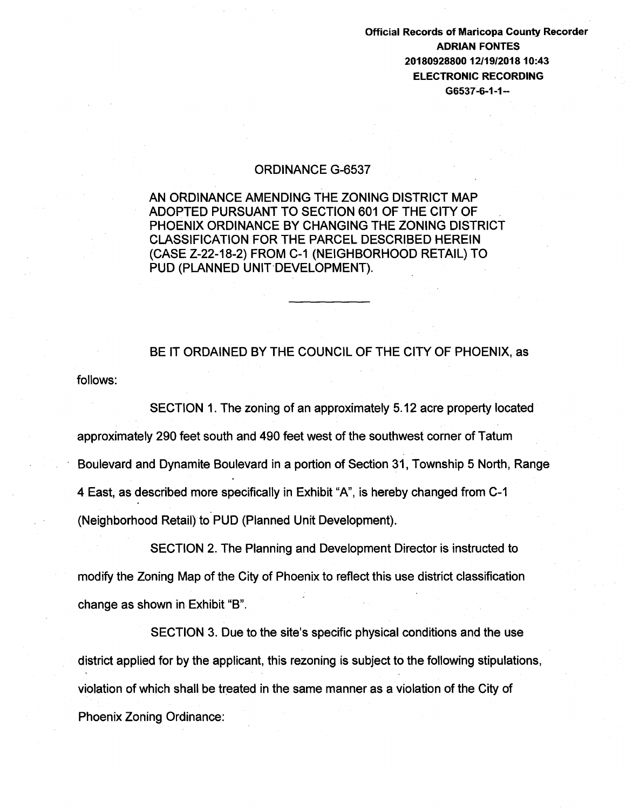## Official Records of Maricopa County Recorder ADRIAN FONTES 20180928800 12/19/2018 10:43 ELECTRONIC RECORDING G6537-6-1-1--

## ORDINANCE G-6537

AN ORDINANCE AMENDING THE ZONING DISTRICT MAP ADOPTED PURSUANT TO SECTION 601 OF THE CITY OF PHOENIX ORDINANCE BY CHANGING THE ZONING DISTRICT CLASSIFICATION FOR THE PARCEL DESCRIBED HEREIN (CASE Z-22-18-2) FROM C-1 (NEIGHBORHOOD RETAIL) TO PUD (PLANNED UNIT-DEVELOPMENT).

BE IT ORDAINED BY THE COUNCIL OF THE CITY OF PHOENIX, as

follows:

SECTION 1. The zoning of an approximately 5.12 acre property located approximately 290 feet south and 490 feet west of the southwest corner of Tatum Boulevard and Dynamite Boulevard in a portion of Section 31, Township 5 North, Range 4 East, as described more specifically in Exhibit "A", is hereby changed from C-1 (Neighborhood Retail) to PUD (Planned Unit Development).

SECTION 2. The Planning and Development Director is instructed to modify the Zoning Map of the City of Phoenix to reflect this use district classification change as shown in Exhibit "B".

SECTION 3. Due to the site's specific physical conditions and the use district applied for by the applicant, this rezoning is subject to the following stipulations, violation of which shall be treated in the same manner as a violation of the City of Phoenix Zoning Ordinance: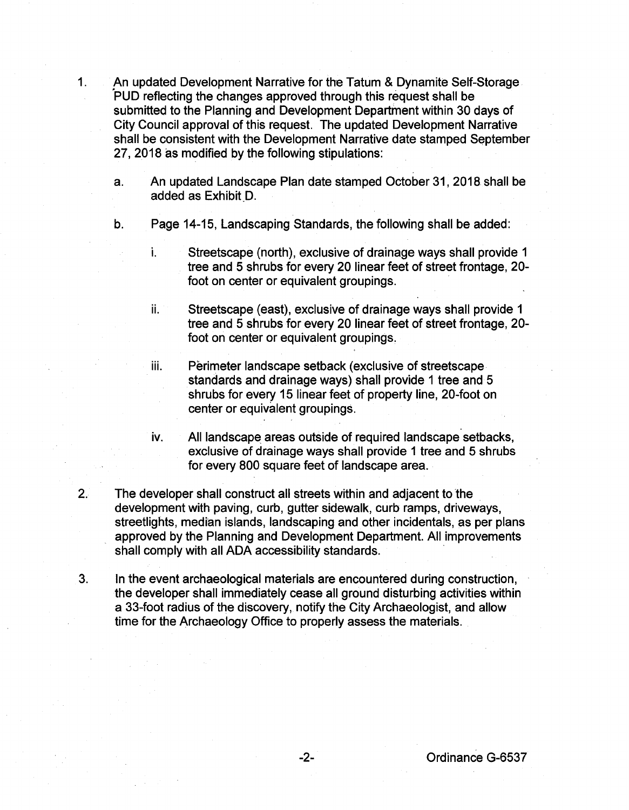- 1. An updated Development Narrative for the Tatum & Dynamite Self-Storage 'puD reflecting the changes approved through this request shall be submitted to the Planning and Development Department within 30 days of City Council approval of this request. The updated Development Narrative shall be consistent with the Development Narrative date stamped September 27, 2018 as modified by the following stipulations:
	- a. An updated Landscape Plan date stamped October 31, 2018 shall be added as Exhibit D.
	- b. Page 14-15, Landscaping Standards, the following shall be added:
		- i. Streetscape (north), exclusive of drainage ways shall provide 1 tree and 5 shrubs for every 20 linear feet of street frontage, 20 foot on center or equivalent groupings.
		- ii. Streetscape (east), exclusive of drainage ways shall provide 1 tree and 5 shrubs for every 20 linear feet of street frontage, 20 foot on center or equivalent groupings.
		- iii. Perimeter landscape setback (exclusive of streetscape standards and drainage ways) shall provide 1 tree and 5 shrubs for every 15 linear feet of property line, 20-foot on center or equivalent groupings.
		- iv. All landscape areas outside of required landscape setbacks, exclusive of drainage ways shall provide 1 tree and 5 shrubs for every 800 square feet of landscape area.
- 2. The developer shall construct all streets within and adjacent to the development with paving, curb, gutter sidewalk, curb ramps, driveways, streetlights, median islands, landscaping and other incidentals, as per plans approved by the Planning and Development Department. All improvements shall comply with all ADA accessibility standards.
- 3. In the event archaeological materials are encountered during construction, the developer shall immediately cease all ground disturbing activities within a 33-foot radius of the discovery, notify the City Archaeologist, and allow time for the Archaeology Office to properly assess the materials.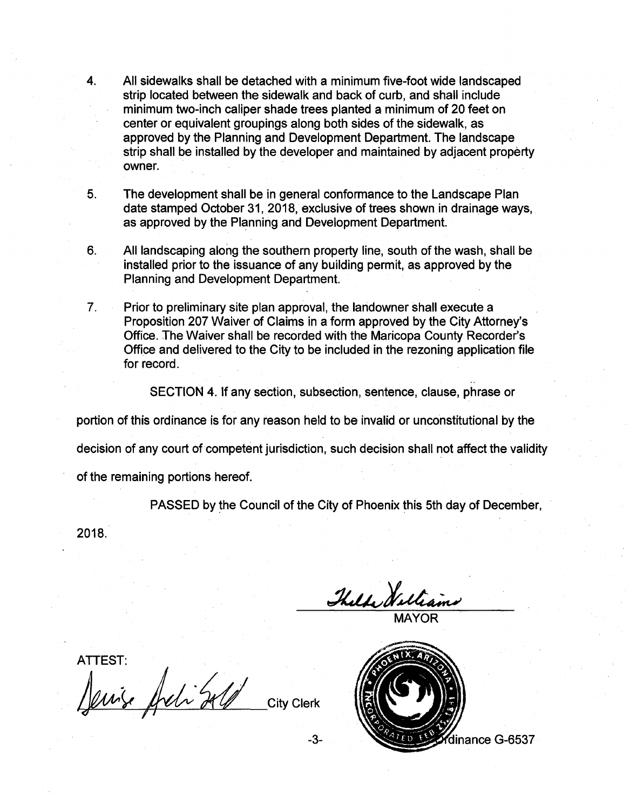4. All sidewalks shall be detached with a minimum five-foot wide landscaped strip located between the sidewalk and back of curb, and shall include minimum two-inch caliper shade trees planted a minimum of 20 feet on center or equivalent groupings along both sides of the sidewalk, as approved by the Planning and Development Department. The landscape strip shall be installed by the developer and maintained by adjacent property owner.

5. The development shall be in general conformance to the Landscape Plan date stamped October 31, 2018, exclusive of trees shown in drainage ways, as approved by the Planning and Development Department.

6. All landscaping along the southern property line, south of the wash, shall be installed prior to the issuance of any building permit, as approved by the Planning and Development Department.

7. Prior to preliminary site plan approval, the landowner shall execute a Proposition 207 Waiver of Claims in a form approved by the City Attorney's Office. The Waiver shall be recorded with the Maricopa County Recorder's Office and delivered to the City to be included in the rezoning application file for record.

SECTION 4. If any section, subsection, sentence, clause, phrase or

portion of this ordinance is for any reason held to be invalid or unconstitutional by the

decision of any court of competent jurisdiction, such decision shall not affect the validity

of the remaining portions hereof.

PASSED by the Council of the City of Phoenix this 5th day of December,

2018.

Thelde Welliams

MAYOR

ATTEST: Jewise Archibald City Clerk



..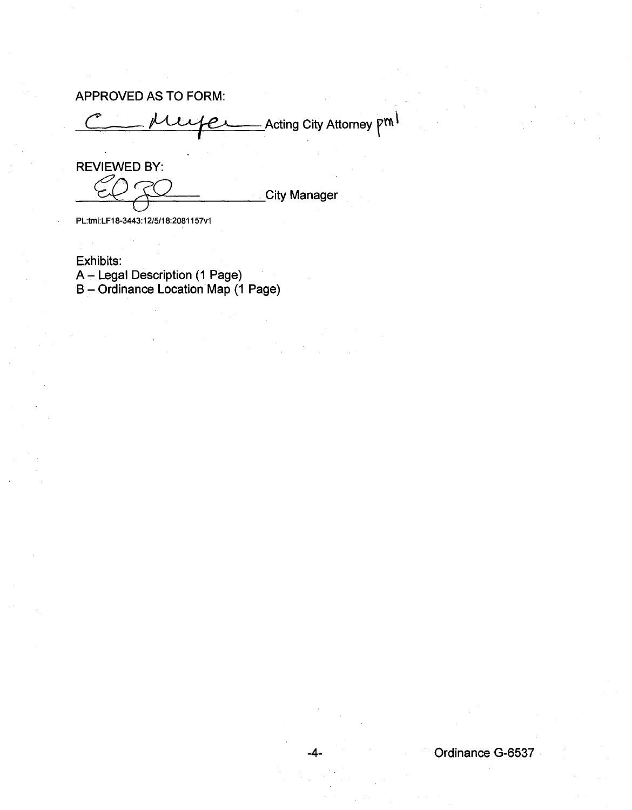APPROVED AS TO FORM:

\_Acting City Attorney  $\mathsf{P}^{\mathsf{m}}{}^{\mathsf{l}}$ 

REVIEWED BY: **RUNITE:**City Manager

PL:tmi:LF18-3443:12/5/18:2081157v1

Exhibits: A – Legal Description (1 Page) B- Ordinance Location Map (1 Page)

-4- Ordinance G-6537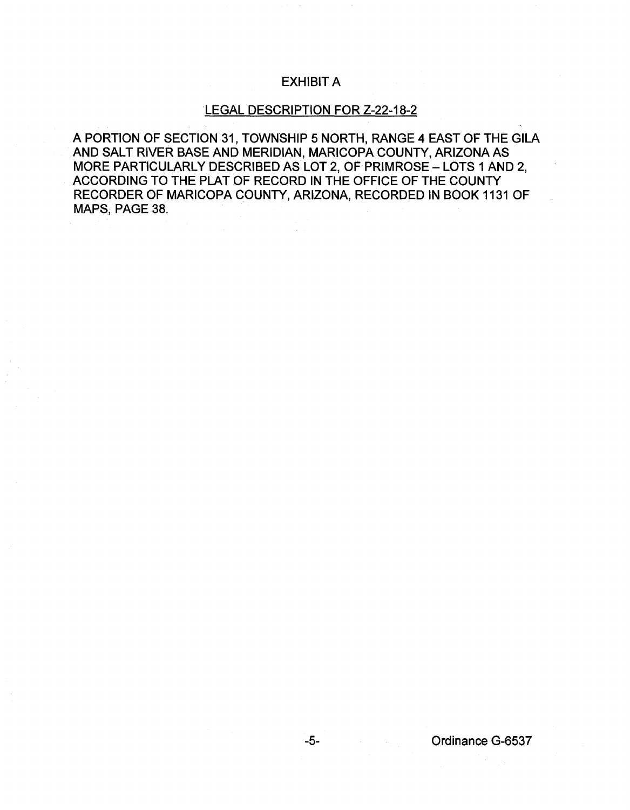## EXHIBIT A

## LEGAL DESCRIPTION FOR Z-22-18-2

A PORTION OF SECTION 31, TOWNSHIP 5 NORTH, RANGE 4 EAST OF THE GILA AND SALT RIVER BASE AND MERIDIAN, MARICOPA COUNTY, ARIZONA AS MORE PARTICULARLY DESCRIBED AS LOT 2, OF PRIMROSE- LOTS 1 AND 2, ACCORDING TO THE PLAT OF RECORD IN THE OFFICE OF THE COUNTY RECORDER OF MARICOPA COUNTY, ARIZONA, RECORDED IN BOOK 1131 OF MAPS, PAGE 38.